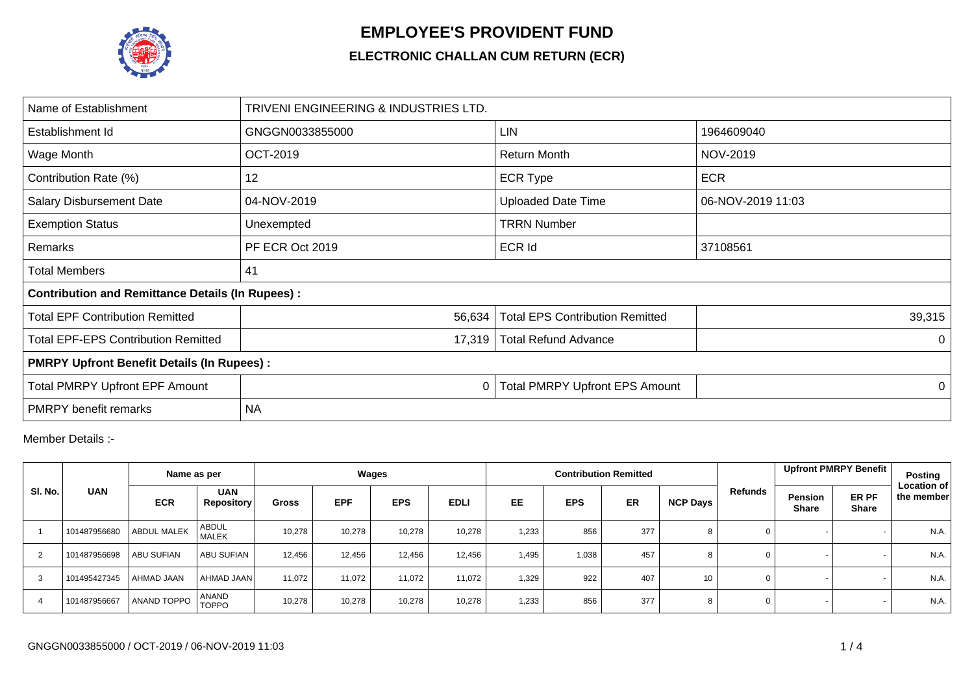

## **EMPLOYEE'S PROVIDENT FUND**

## **ELECTRONIC CHALLAN CUM RETURN (ECR)**

| Name of Establishment                                   | TRIVENI ENGINEERING & INDUSTRIES LTD. |                                        |                   |  |  |  |  |  |  |
|---------------------------------------------------------|---------------------------------------|----------------------------------------|-------------------|--|--|--|--|--|--|
| Establishment Id                                        | GNGGN0033855000                       | <b>LIN</b>                             | 1964609040        |  |  |  |  |  |  |
| Wage Month                                              | <b>OCT-2019</b>                       | <b>Return Month</b>                    | NOV-2019          |  |  |  |  |  |  |
| Contribution Rate (%)                                   | 12                                    | <b>ECR Type</b>                        | <b>ECR</b>        |  |  |  |  |  |  |
| <b>Salary Disbursement Date</b>                         | 04-NOV-2019                           | <b>Uploaded Date Time</b>              | 06-NOV-2019 11:03 |  |  |  |  |  |  |
| <b>Exemption Status</b>                                 | Unexempted                            | <b>TRRN Number</b>                     |                   |  |  |  |  |  |  |
| Remarks                                                 | PF ECR Oct 2019                       | <b>ECR Id</b>                          | 37108561          |  |  |  |  |  |  |
| <b>Total Members</b>                                    | 41                                    |                                        |                   |  |  |  |  |  |  |
| <b>Contribution and Remittance Details (In Rupees):</b> |                                       |                                        |                   |  |  |  |  |  |  |
| <b>Total EPF Contribution Remitted</b>                  | 56,634                                | <b>Total EPS Contribution Remitted</b> | 39,315            |  |  |  |  |  |  |
| <b>Total EPF-EPS Contribution Remitted</b>              | 17,319                                | <b>Total Refund Advance</b>            | 0                 |  |  |  |  |  |  |
| <b>PMRPY Upfront Benefit Details (In Rupees):</b>       |                                       |                                        |                   |  |  |  |  |  |  |
| <b>Total PMRPY Upfront EPF Amount</b>                   | 0                                     | <b>Total PMRPY Upfront EPS Amount</b>  | 0                 |  |  |  |  |  |  |
| <b>PMRPY</b> benefit remarks                            | <b>NA</b>                             |                                        |                   |  |  |  |  |  |  |

Member Details :-

|         |              | Name as per        |                                 | Wages        |            |            |             |           |            | <b>Contribution Remitted</b> |                 |                | Upfront PMRPY Benefit                                   | Posting                          |
|---------|--------------|--------------------|---------------------------------|--------------|------------|------------|-------------|-----------|------------|------------------------------|-----------------|----------------|---------------------------------------------------------|----------------------------------|
| SI. No. | <b>UAN</b>   | <b>ECR</b>         | <b>UAN</b><br><b>Repository</b> | <b>Gross</b> | <b>EPF</b> | <b>EPS</b> | <b>EDLI</b> | <b>EE</b> | <b>EPS</b> | <b>ER</b>                    | NCP Days        | Refunds        | ER PF<br><b>Pension</b><br><b>Share</b><br><b>Share</b> | <b>Location of</b><br>the member |
|         | 101487956680 | ABDUL MALEK        | <b>ABDUL</b><br><b>MALEK</b>    | 10,278       | 10,278     | 10,278     | 10,278      | 1,233     | 856        | 377                          | 8               | 0              |                                                         | N.A.                             |
|         | 101487956698 | <b>ABU SUFIAN</b>  | <b>ABU SUFIAN</b>               | 12.456       | 12,456     | 12,456     | 12.456      | 1,495     | 1,038      | 457                          |                 | $\mathbf 0$    |                                                         | N.A.                             |
| 3       | 101495427345 | AHMAD JAAN         | AHMAD JAAN                      | 11.072       | 11,072     | 11,072     | 11,072      | 1,329     | 922        | 407                          | 10 <sup>°</sup> | 0              |                                                         | N.A.                             |
|         | 101487956667 | <b>ANAND TOPPO</b> | ANAND<br><b>TOPPO</b>           | 10,278       | 10,278     | 10,278     | 10,278      | 1,233     | 856        | 377                          | 8               | $\overline{0}$ |                                                         | N.A.                             |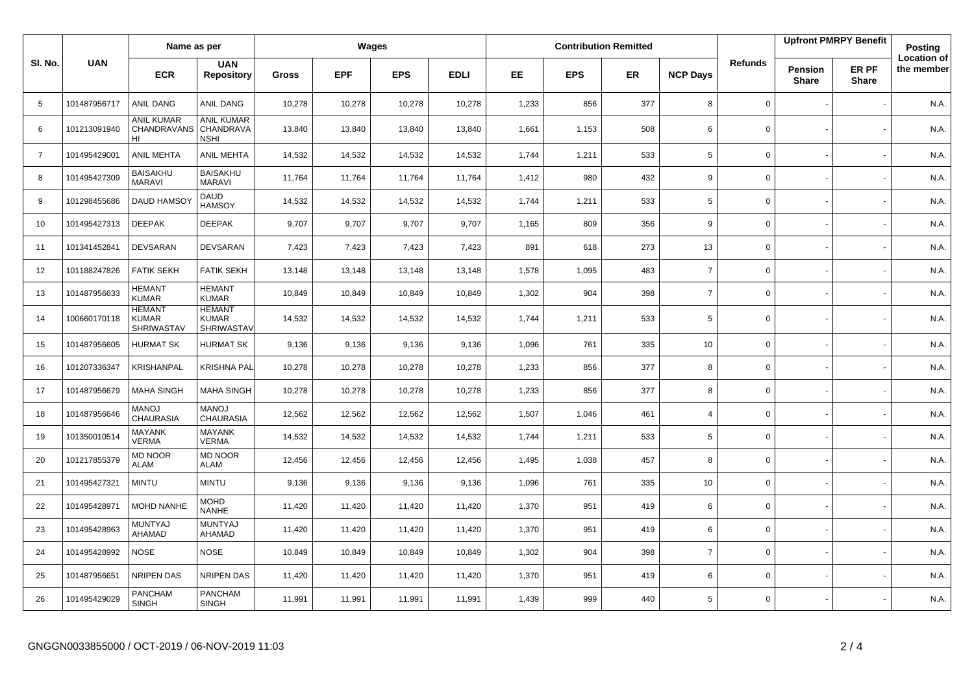|                |              | Name as per                                        |                                                    | Wages        |            |            |             |           |            | <b>Contribution Remitted</b> |                 |                | <b>Upfront PMRPY Benefit</b> |                       | Posting                          |
|----------------|--------------|----------------------------------------------------|----------------------------------------------------|--------------|------------|------------|-------------|-----------|------------|------------------------------|-----------------|----------------|------------------------------|-----------------------|----------------------------------|
| SI. No.        | <b>UAN</b>   | <b>ECR</b>                                         | <b>UAN</b><br><b>Repository</b>                    | <b>Gross</b> | <b>EPF</b> | <b>EPS</b> | <b>EDLI</b> | <b>EE</b> | <b>EPS</b> | ER.                          | <b>NCP Days</b> | <b>Refunds</b> | Pension<br><b>Share</b>      | ER PF<br><b>Share</b> | <b>Location of</b><br>the member |
| 5              | 101487956717 | <b>ANIL DANG</b>                                   | ANIL DANG                                          | 10,278       | 10,278     | 10,278     | 10,278      | 1,233     | 856        | 377                          | 8               | $\mathbf 0$    |                              |                       | N.A.                             |
| 6              | 101213091940 | <b>ANIL KUMAR</b><br>CHANDRAVANS<br>HI             | <b>ANIL KUMAR</b><br>CHANDRAVA<br><b>NSHI</b>      | 13,840       | 13,840     | 13,840     | 13,840      | 1,661     | 1,153      | 508                          | 6               | $\Omega$       |                              |                       | N.A.                             |
| $\overline{7}$ | 101495429001 | ANIL MEHTA                                         | <b>ANIL MEHTA</b>                                  | 14,532       | 14,532     | 14,532     | 14,532      | 1,744     | 1,211      | 533                          | 5               | 0              |                              |                       | N.A.                             |
| 8              | 101495427309 | <b>BAISAKHU</b><br>MARAVI                          | <b>BAISAKHU</b><br><b>MARAVI</b>                   | 11,764       | 11,764     | 11,764     | 11,764      | 1,412     | 980        | 432                          | 9               | 0              |                              |                       | N.A.                             |
| 9              | 101298455686 | DAUD HAMSO                                         | <b>DAUD</b><br><b>HAMSOY</b>                       | 14,532       | 14,532     | 14,532     | 14,532      | 1,744     | 1,211      | 533                          | 5               | 0              |                              |                       | N.A.                             |
| 10             | 101495427313 | <b>DEEPAK</b>                                      | <b>DEEPAK</b>                                      | 9,707        | 9,707      | 9,707      | 9,707       | 1,165     | 809        | 356                          | 9               | 0              |                              |                       | N.A.                             |
| 11             | 101341452841 | <b>DEVSARAN</b>                                    | <b>DEVSARAN</b>                                    | 7,423        | 7,423      | 7,423      | 7,423       | 891       | 618        | 273                          | 13              | $\mathsf 0$    |                              |                       | N.A.                             |
| 12             | 101188247826 | <b>FATIK SEKH</b>                                  | <b>FATIK SEKH</b>                                  | 13,148       | 13,148     | 13,148     | 13,148      | 1,578     | 1,095      | 483                          | $\overline{7}$  | 0              |                              |                       | N.A.                             |
| 13             | 101487956633 | <b>HEMANT</b><br><b>KUMAR</b>                      | <b>HEMANT</b><br><b>KUMAR</b>                      | 10,849       | 10,849     | 10,849     | 10,849      | 1,302     | 904        | 398                          | $\overline{7}$  | $\mathbf 0$    |                              |                       | N.A.                             |
| 14             | 100660170118 | <b>HEMANT</b><br><b>KUMAR</b><br><b>SHRIWASTAV</b> | <b>HEMANT</b><br><b>KUMAR</b><br><b>SHRIWASTAV</b> | 14,532       | 14,532     | 14,532     | 14,532      | 1,744     | 1,211      | 533                          | 5               | $\mathbf 0$    |                              |                       | N.A.                             |
| 15             | 101487956605 | <b>HURMAT SK</b>                                   | <b>HURMAT SK</b>                                   | 9,136        | 9,136      | 9,136      | 9,136       | 1,096     | 761        | 335                          | 10              | $\Omega$       |                              |                       | N.A.                             |
| 16             | 101207336347 | KRISHANPAL                                         | KRISHNA PAL                                        | 10,278       | 10,278     | 10,278     | 10,278      | 1,233     | 856        | 377                          | 8               | $\mathbf 0$    |                              |                       | N.A.                             |
| 17             | 101487956679 | <b>MAHA SINGH</b>                                  | <b>MAHA SINGH</b>                                  | 10,278       | 10,278     | 10,278     | 10,278      | 1,233     | 856        | 377                          | 8               | $\mathbf 0$    |                              |                       | N.A.                             |
| 18             | 101487956646 | <b>MANOJ</b><br><b>CHAURASIA</b>                   | <b>MANOJ</b><br><b>CHAURASIA</b>                   | 12,562       | 12,562     | 12,562     | 12,562      | 1,507     | 1,046      | 461                          | $\overline{4}$  | $\mathbf 0$    |                              |                       | N.A.                             |
| 19             | 101350010514 | <b>MAYANK</b><br><b>VERMA</b>                      | <b>MAYANK</b><br><b>VERMA</b>                      | 14,532       | 14,532     | 14,532     | 14,532      | 1,744     | 1,211      | 533                          | 5               | $\mathbf 0$    |                              |                       | N.A.                             |
| 20             | 101217855379 | <b>MD NOOR</b><br><b>ALAM</b>                      | <b>MD NOOR</b><br><b>ALAM</b>                      | 12,456       | 12,456     | 12,456     | 12,456      | 1,495     | 1,038      | 457                          | 8               | $\Omega$       |                              |                       | N.A.                             |
| 21             | 101495427321 | <b>MINTU</b>                                       | <b>MINTU</b>                                       | 9,136        | 9,136      | 9,136      | 9,136       | 1,096     | 761        | 335                          | 10              | $\mathbf 0$    |                              |                       | N.A.                             |
| 22             | 101495428971 | <b>MOHD NANHE</b>                                  | <b>MOHD</b><br><b>NANHE</b>                        | 11,420       | 11,420     | 11,420     | 11,420      | 1,370     | 951        | 419                          | 6               | 0              |                              |                       | N.A.                             |
| 23             | 101495428963 | MUNTYAJ<br>AHAMAD                                  | <b>MUNTYAJ</b><br>AHAMAD                           | 11,420       | 11,420     | 11,420     | 11,420      | 1,370     | 951        | 419                          | 6               | $\mathbf 0$    |                              |                       | N.A.                             |
| 24             | 101495428992 | <b>NOSE</b>                                        | <b>NOSE</b>                                        | 10,849       | 10,849     | 10,849     | 10,849      | 1,302     | 904        | 398                          | $\overline{7}$  | $\mathbf 0$    |                              |                       | N.A.                             |
| 25             | 101487956651 | NRIPEN DAS                                         | <b>NRIPEN DAS</b>                                  | 11,420       | 11,420     | 11,420     | 11,420      | 1,370     | 951        | 419                          | 6               | $\mathbf 0$    |                              |                       | N.A.                             |
| 26             | 101495429029 | <b>PANCHAM</b><br><b>SINGH</b>                     | <b>PANCHAM</b><br><b>SINGH</b>                     | 11,991       | 11,991     | 11,991     | 11,991      | 1,439     | 999        | 440                          | 5               | $\mathbf 0$    |                              |                       | N.A.                             |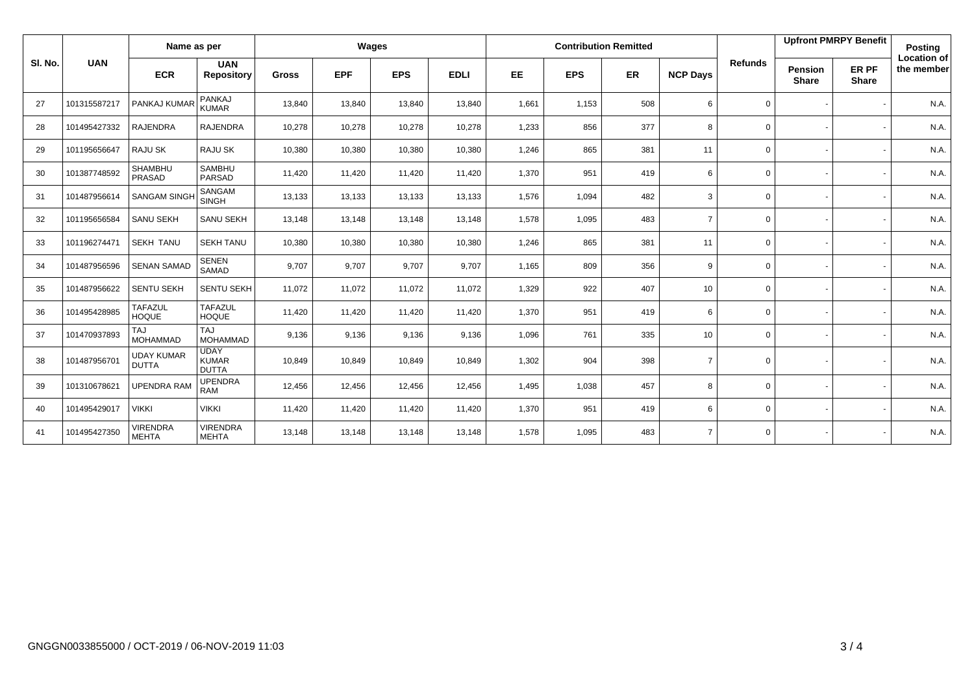|         | <b>UAN</b>   | Name as per                       |                                             | Wages        |            |            |             |           |            | <b>Contribution Remitted</b> |                 |                | <b>Upfront PMRPY Benefit</b>   |                       | <b>Posting</b>                   |
|---------|--------------|-----------------------------------|---------------------------------------------|--------------|------------|------------|-------------|-----------|------------|------------------------------|-----------------|----------------|--------------------------------|-----------------------|----------------------------------|
| SI. No. |              | <b>ECR</b>                        | <b>UAN</b><br><b>Repository</b>             | <b>Gross</b> | <b>EPF</b> | <b>EPS</b> | <b>EDLI</b> | <b>EE</b> | <b>EPS</b> | <b>ER</b>                    | <b>NCP Days</b> | <b>Refunds</b> | <b>Pension</b><br><b>Share</b> | ER PF<br><b>Share</b> | <b>Location of</b><br>the member |
| 27      | 101315587217 | PANKAJ KUMAR                      | PANKAJ<br><b>KUMAR</b>                      | 13,840       | 13,840     | 13,840     | 13,840      | 1,661     | 1,153      | 508                          | 6               | $\mathbf 0$    |                                |                       | N.A.                             |
| 28      | 101495427332 | <b>RAJENDRA</b>                   | <b>RAJENDRA</b>                             | 10,278       | 10,278     | 10,278     | 10,278      | 1,233     | 856        | 377                          | 8               | $\mathbf 0$    |                                |                       | N.A.                             |
| 29      | 101195656647 | RAJU SK                           | <b>RAJU SK</b>                              | 10,380       | 10,380     | 10,380     | 10,380      | 1,246     | 865        | 381                          | 11              | $\mathbf 0$    |                                |                       | N.A.                             |
| 30      | 101387748592 | <b>SHAMBHU</b><br>PRASAD          | <b>SAMBHU</b><br><b>PARSAD</b>              | 11,420       | 11,420     | 11,420     | 11,420      | 1,370     | 951        | 419                          | 6               | $\mathbf 0$    |                                |                       | N.A.                             |
| 31      | 101487956614 | <b>SANGAM SINGH</b>               | SANGAM<br><b>SINGH</b>                      | 13,133       | 13,133     | 13,133     | 13,133      | 1,576     | 1,094      | 482                          | 3               | $\mathbf 0$    |                                |                       | N.A.                             |
| 32      | 101195656584 | <b>SANU SEKH</b>                  | SANU SEKH                                   | 13,148       | 13,148     | 13,148     | 13,148      | 1,578     | 1,095      | 483                          | $\overline{7}$  | $\mathbf 0$    |                                |                       | N.A.                             |
| 33      | 101196274471 | <b>SEKH TANU</b>                  | <b>SEKH TANU</b>                            | 10,380       | 10,380     | 10,380     | 10,380      | 1,246     | 865        | 381                          | 11              | $\mathbf 0$    |                                |                       | N.A.                             |
| 34      | 101487956596 | <b>SENAN SAMAD</b>                | <b>SENEN</b><br>SAMAD                       | 9,707        | 9,707      | 9,707      | 9,707       | 1,165     | 809        | 356                          | 9               | $\mathbf 0$    |                                |                       | N.A.                             |
| 35      | 101487956622 | <b>SENTU SEKH</b>                 | <b>SENTU SEKH</b>                           | 11,072       | 11,072     | 11,072     | 11,072      | 1,329     | 922        | 407                          | 10              | $\mathbf 0$    |                                |                       | N.A.                             |
| 36      | 101495428985 | <b>TAFAZUL</b><br><b>HOQUE</b>    | <b>TAFAZUL</b><br><b>HOQUE</b>              | 11,420       | 11,420     | 11,420     | 11,420      | 1,370     | 951        | 419                          | 6               | $\mathbf 0$    |                                |                       | N.A.                             |
| 37      | 101470937893 | <b>LAT</b><br><b>MOHAMMAD</b>     | TAJ<br><b>MOHAMMAD</b>                      | 9,136        | 9,136      | 9,136      | 9,136       | 1,096     | 761        | 335                          | 10 <sup>°</sup> | $\mathbf{0}$   |                                |                       | N.A.                             |
| 38      | 101487956701 | <b>UDAY KUMAR</b><br><b>DUTTA</b> | <b>UDAY</b><br><b>KUMAR</b><br><b>DUTTA</b> | 10,849       | 10,849     | 10,849     | 10,849      | 1,302     | 904        | 398                          | $\overline{7}$  | $\mathbf 0$    |                                |                       | N.A.                             |
| 39      | 101310678621 | <b>UPENDRA RAM</b>                | <b>UPENDRA</b><br>RAM                       | 12,456       | 12,456     | 12,456     | 12,456      | 1,495     | 1,038      | 457                          | 8               | $\mathbf 0$    |                                |                       | N.A.                             |
| 40      | 101495429017 | <b>VIKKI</b>                      | <b>VIKKI</b>                                | 11,420       | 11,420     | 11,420     | 11,420      | 1,370     | 951        | 419                          | 6               | $\mathbf{0}$   |                                |                       | N.A.                             |
| 41      | 101495427350 | <b>VIRENDRA</b><br><b>MEHTA</b>   | <b>VIRENDRA</b><br><b>MEHTA</b>             | 13,148       | 13,148     | 13,148     | 13,148      | 1,578     | 1,095      | 483                          | $\overline{7}$  | $\mathbf 0$    |                                |                       | N.A.                             |